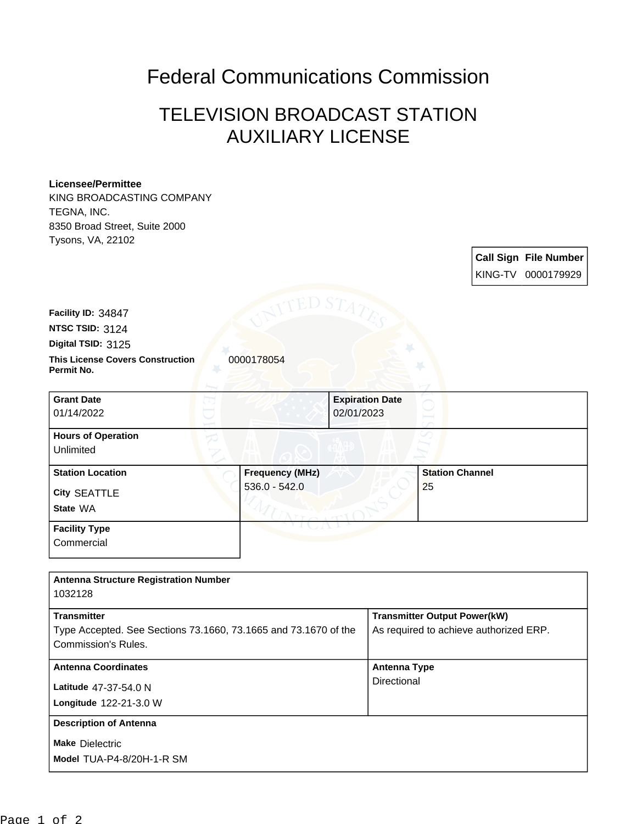## Federal Communications Commission

## TELEVISION BROADCAST STATION AUXILIARY LICENSE

## **Licensee/Permittee**

KING BROADCASTING COMPANY TEGNA, INC. 8350 Broad Street, Suite 2000

| 8350 Broad Street, Suite 2000                         |                        |                        |    |                        |                              |
|-------------------------------------------------------|------------------------|------------------------|----|------------------------|------------------------------|
| Tysons, VA, 22102                                     |                        |                        |    |                        |                              |
|                                                       |                        |                        |    |                        | <b>Call Sign File Number</b> |
|                                                       |                        |                        |    |                        | KING-TV 0000179929           |
|                                                       |                        |                        |    |                        |                              |
|                                                       |                        |                        |    |                        |                              |
| Facility ID: 34847                                    |                        |                        |    |                        |                              |
| <b>NTSC TSID: 3124</b>                                |                        |                        |    |                        |                              |
| Digital TSID: 3125                                    |                        |                        |    |                        |                              |
| <b>This License Covers Construction</b><br>Permit No. | 0000178054             |                        |    |                        |                              |
| <b>Grant Date</b>                                     |                        | <b>Expiration Date</b> |    |                        |                              |
| 01/14/2022                                            |                        | 02/01/2023             |    |                        |                              |
| <b>Hours of Operation</b>                             |                        |                        |    |                        |                              |
| Unlimited                                             |                        |                        |    |                        |                              |
| <b>Station Location</b>                               | <b>Frequency (MHz)</b> |                        |    | <b>Station Channel</b> |                              |
| City SEATTLE                                          | $536.0 - 542.0$        |                        | 25 |                        |                              |
| State WA                                              |                        |                        |    |                        |                              |
| <b>Facility Type</b>                                  |                        |                        |    |                        |                              |
| Commercial                                            |                        |                        |    |                        |                              |
|                                                       |                        |                        |    |                        |                              |
| <b>Antenna Structure Registration Number</b>          |                        |                        |    |                        |                              |
| 1032128                                               |                        |                        |    |                        |                              |
|                                                       |                        |                        |    |                        |                              |

| 1 UU 1 LU                                                       |                                        |  |  |  |
|-----------------------------------------------------------------|----------------------------------------|--|--|--|
| <b>Transmitter</b>                                              | <b>Transmitter Output Power(kW)</b>    |  |  |  |
| Type Accepted. See Sections 73.1660, 73.1665 and 73.1670 of the | As required to achieve authorized ERP. |  |  |  |
| Commission's Rules.                                             |                                        |  |  |  |
| <b>Antenna Coordinates</b>                                      | <b>Antenna Type</b>                    |  |  |  |
| Latitude 47-37-54.0 N                                           | Directional                            |  |  |  |
| <b>Longitude 122-21-3.0 W</b>                                   |                                        |  |  |  |
| <b>Description of Antenna</b>                                   |                                        |  |  |  |
| <b>Make Dielectric</b>                                          |                                        |  |  |  |
| Model TUA-P4-8/20H-1-R SM                                       |                                        |  |  |  |